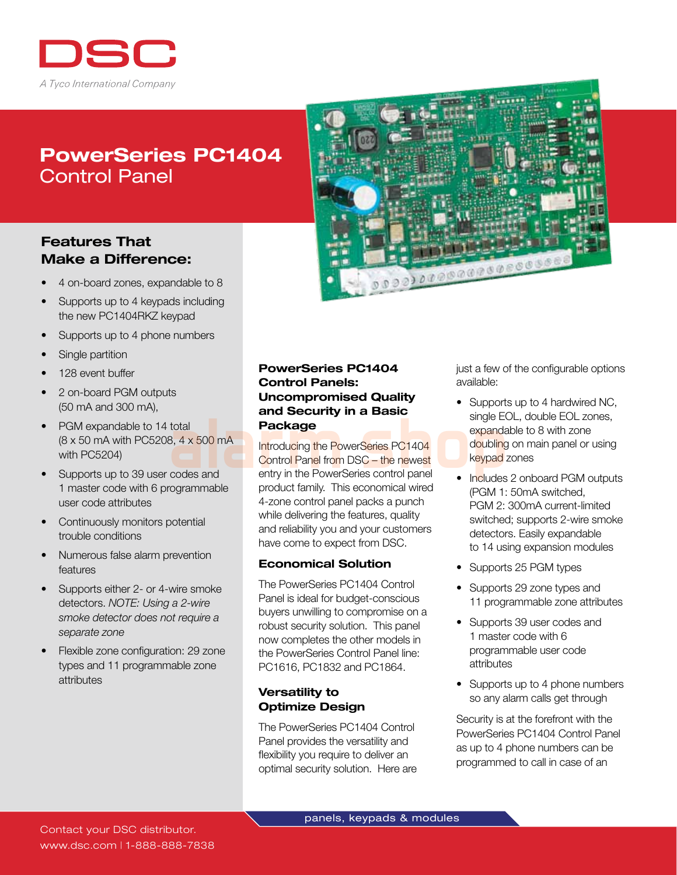

# PowerSeries PC1404 Control Panel

# Features That Make a Difference:

- 4 on-board zones, expandable to 8
- Supports up to 4 keypads including the new PC1404RKZ keypad
- Supports up to 4 phone numbers
- Single partition
- 128 event buffer
- 2 on-board PGM outputs (50 mA and 300 mA),
- PGM expandable to 14 total (8 x 50 mA with PC5208, 4 x 500 mA with PC5204)
- Supports up to 39 user codes and 1 master code with 6 programmable user code attributes
- Continuously monitors potential trouble conditions
- Numerous false alarm prevention features
- Supports either 2- or 4-wire smoke detectors. *NOTE: Using a 2-wire smoke detector does not require a separate zone*
- Flexible zone configuration: 29 zone types and 11 programmable zone attributes



# PowerSeries PC1404 Control Panels: Uncompromised Quality and Security in a Basic Package

Introducing the PowerSeries PC1404 Control Panel from DSC - the newest entry in the PowerSeries control panel product family. This economical wired 4-zone control panel packs a punch while delivering the features, quality and reliability you and your customers have come to expect from DSC. and **Security in a Basic** single Education and **Package** expands<br>
also and **all introducing the PowerSeries PC1404** expands<br>
codes and entry in the PowerSeries control panel<br>
product family. This economical wired

#### Economical Solution

The PowerSeries PC1404 Control Panel is ideal for budget-conscious buyers unwilling to compromise on a robust security solution. This panel now completes the other models in the PowerSeries Control Panel line: PC1616, PC1832 and PC1864.

### Versatility to Optimize Design

The PowerSeries PC1404 Control Panel provides the versatility and flexibility you require to deliver an optimal security solution. Here are just a few of the configurable options available:

- Supports up to 4 hardwired NC, single EOL, double EOL zones, expandable to 8 with zone doubling on main panel or using keypad zones
- Includes 2 onboard PGM outputs (PGM 1: 50mA switched, PGM 2: 300mA current-limited switched; supports 2-wire smoke detectors. Easily expandable to 14 using expansion modules
- Supports 25 PGM types
- Supports 29 zone types and 11 programmable zone attributes
- Supports 39 user codes and 1 master code with 6 programmable user code attributes
- Supports up to 4 phone numbers so any alarm calls get through

Security is at the forefront with the PowerSeries PC1404 Control Panel as up to 4 phone numbers can be programmed to call in case of an